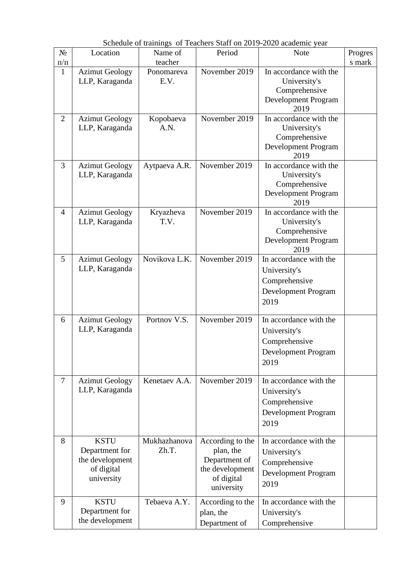| $N_2$          | Location                                                                     | Name of               | Period                                                                                        | <b>Note</b>                                                                                   | Progres |
|----------------|------------------------------------------------------------------------------|-----------------------|-----------------------------------------------------------------------------------------------|-----------------------------------------------------------------------------------------------|---------|
| $\Pi/\Pi$      |                                                                              | teacher               |                                                                                               |                                                                                               | s mark  |
| $\mathbf{1}$   | <b>Azimut Geology</b><br>LLP, Karaganda                                      | Ponomareva<br>E.V.    | November 2019                                                                                 | In accordance with the<br>University's<br>Comprehensive<br>Development Program<br>2019        |         |
| $\overline{2}$ | <b>Azimut Geology</b><br>LLP, Karaganda                                      | Kopobaeva<br>A.N.     | November 2019                                                                                 | In accordance with the<br>University's<br>Comprehensive<br>Development Program<br>2019        |         |
| 3              | <b>Azimut Geology</b><br>LLP, Karaganda                                      | Aytpaeva A.R.         | November 2019                                                                                 | In accordance with the<br>University's<br>Comprehensive<br><b>Development Program</b><br>2019 |         |
| $\overline{4}$ | <b>Azimut Geology</b><br>LLP, Karaganda                                      | Kryazheva<br>T.V.     | November 2019                                                                                 | In accordance with the<br>University's<br>Comprehensive<br>Development Program<br>2019        |         |
| 5              | <b>Azimut Geology</b><br>LLP, Karaganda                                      | Novikova L.K.         | November 2019                                                                                 | In accordance with the<br>University's<br>Comprehensive<br>Development Program<br>2019        |         |
| 6              | <b>Azimut Geology</b><br>LLP, Karaganda                                      | Portnov V.S.          | November 2019                                                                                 | In accordance with the<br>University's<br>Comprehensive<br>Development Program<br>2019        |         |
| $\tau$         | <b>Azimut Geology</b><br>LLP, Karaganda                                      | Kenetaev A.A.         | November 2019                                                                                 | In accordance with the<br>University's<br>Comprehensive<br><b>Development Program</b><br>2019 |         |
| 8              | <b>KSTU</b><br>Department for<br>the development<br>of digital<br>university | Mukhazhanova<br>Zh.T. | According to the<br>plan, the<br>Department of<br>the development<br>of digital<br>university | In accordance with the<br>University's<br>Comprehensive<br>Development Program<br>2019        |         |
| 9              | <b>KSTU</b><br>Department for<br>the development                             | Tebaeva A.Y.          | According to the<br>plan, the<br>Department of                                                | In accordance with the<br>University's<br>Comprehensive                                       |         |

Schedule of trainings of Teachers Staff on 2019-2020 academic year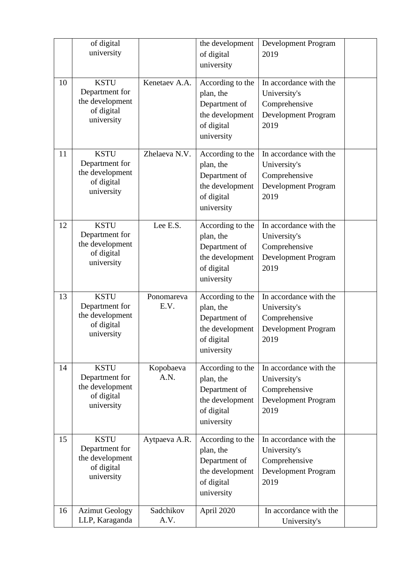|    | of digital<br>university                                                     |                    | the development                                                                               | Development Program                                                                           |  |
|----|------------------------------------------------------------------------------|--------------------|-----------------------------------------------------------------------------------------------|-----------------------------------------------------------------------------------------------|--|
|    |                                                                              |                    | of digital<br>university                                                                      | 2019                                                                                          |  |
| 10 | <b>KSTU</b><br>Department for<br>the development<br>of digital<br>university | Kenetaev A.A.      | According to the<br>plan, the<br>Department of<br>the development<br>of digital<br>university | In accordance with the<br>University's<br>Comprehensive<br>Development Program<br>2019        |  |
| 11 | <b>KSTU</b><br>Department for<br>the development<br>of digital<br>university | Zhelaeva N.V.      | According to the<br>plan, the<br>Department of<br>the development<br>of digital<br>university | In accordance with the<br>University's<br>Comprehensive<br>Development Program<br>2019        |  |
| 12 | <b>KSTU</b><br>Department for<br>the development<br>of digital<br>university | Lee E.S.           | According to the<br>plan, the<br>Department of<br>the development<br>of digital<br>university | In accordance with the<br>University's<br>Comprehensive<br>Development Program<br>2019        |  |
| 13 | <b>KSTU</b><br>Department for<br>the development<br>of digital<br>university | Ponomareva<br>E.V. | According to the<br>plan, the<br>Department of<br>the development<br>of digital<br>university | In accordance with the<br>University's<br>Comprehensive<br>Development Program<br>2019        |  |
| 14 | <b>KSTU</b><br>Department for<br>the development<br>of digital<br>university | Kopobaeva<br>A.N.  | According to the<br>plan, the<br>Department of<br>the development<br>of digital<br>university | In accordance with the<br>University's<br>Comprehensive<br><b>Development Program</b><br>2019 |  |
| 15 | <b>KSTU</b><br>Department for<br>the development<br>of digital<br>university | Aytpaeva A.R.      | According to the<br>plan, the<br>Department of<br>the development<br>of digital<br>university | In accordance with the<br>University's<br>Comprehensive<br>Development Program<br>2019        |  |
| 16 | <b>Azimut Geology</b><br>LLP, Karaganda                                      | Sadchikov<br>A.V.  | April 2020                                                                                    | In accordance with the<br>University's                                                        |  |